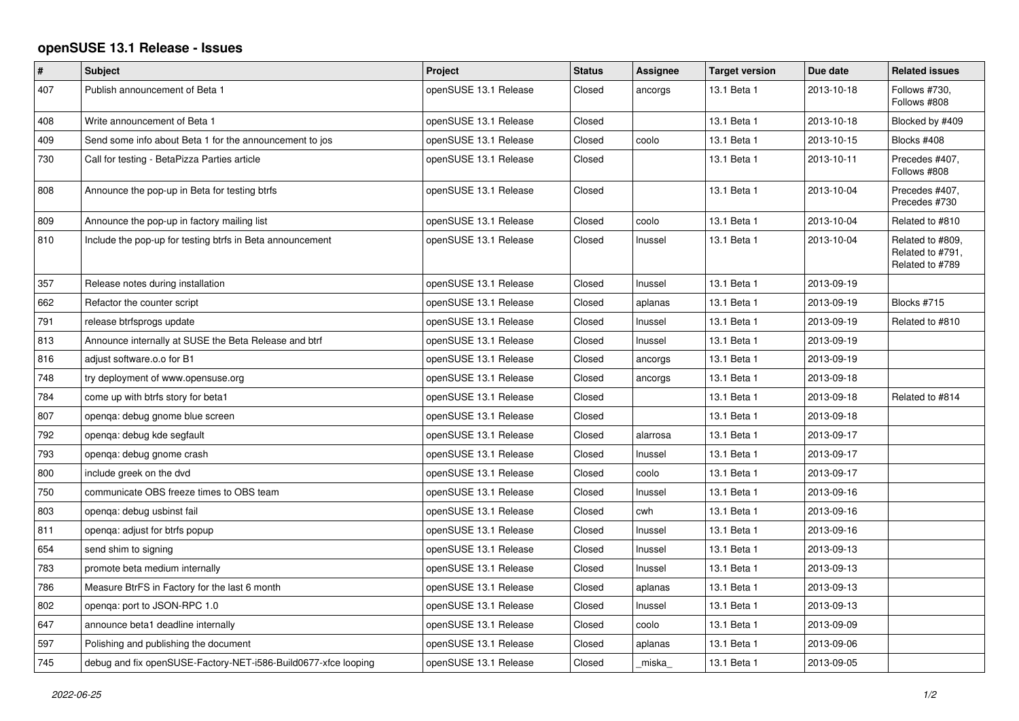## **openSUSE 13.1 Release - Issues**

| #   | Subject                                                        | Project               | <b>Status</b> | Assignee | <b>Target version</b> | Due date   | <b>Related issues</b>                                   |
|-----|----------------------------------------------------------------|-----------------------|---------------|----------|-----------------------|------------|---------------------------------------------------------|
| 407 | Publish announcement of Beta 1                                 | openSUSE 13.1 Release | Closed        | ancorgs  | 13.1 Beta 1           | 2013-10-18 | Follows #730,<br>Follows #808                           |
| 408 | Write announcement of Beta 1                                   | openSUSE 13.1 Release | Closed        |          | 13.1 Beta 1           | 2013-10-18 | Blocked by #409                                         |
| 409 | Send some info about Beta 1 for the announcement to jos        | openSUSE 13.1 Release | Closed        | coolo    | 13.1 Beta 1           | 2013-10-15 | Blocks #408                                             |
| 730 | Call for testing - BetaPizza Parties article                   | openSUSE 13.1 Release | Closed        |          | 13.1 Beta 1           | 2013-10-11 | Precedes #407,<br>Follows #808                          |
| 808 | Announce the pop-up in Beta for testing btrfs                  | openSUSE 13.1 Release | Closed        |          | 13.1 Beta 1           | 2013-10-04 | Precedes #407,<br>Precedes #730                         |
| 809 | Announce the pop-up in factory mailing list                    | openSUSE 13.1 Release | Closed        | coolo    | 13.1 Beta 1           | 2013-10-04 | Related to #810                                         |
| 810 | Include the pop-up for testing btrfs in Beta announcement      | openSUSE 13.1 Release | Closed        | Inussel  | 13.1 Beta 1           | 2013-10-04 | Related to #809.<br>Related to #791,<br>Related to #789 |
| 357 | Release notes during installation                              | openSUSE 13.1 Release | Closed        | Inussel  | 13.1 Beta 1           | 2013-09-19 |                                                         |
| 662 | Refactor the counter script                                    | openSUSE 13.1 Release | Closed        | aplanas  | 13.1 Beta 1           | 2013-09-19 | Blocks #715                                             |
| 791 | release btrfsprogs update                                      | openSUSE 13.1 Release | Closed        | Inussel  | 13.1 Beta 1           | 2013-09-19 | Related to #810                                         |
| 813 | Announce internally at SUSE the Beta Release and btrf          | openSUSE 13.1 Release | Closed        | Inussel  | 13.1 Beta 1           | 2013-09-19 |                                                         |
| 816 | adjust software.o.o for B1                                     | openSUSE 13.1 Release | Closed        | ancorgs  | 13.1 Beta 1           | 2013-09-19 |                                                         |
| 748 | try deployment of www.opensuse.org                             | openSUSE 13.1 Release | Closed        | ancorgs  | 13.1 Beta 1           | 2013-09-18 |                                                         |
| 784 | come up with btrfs story for beta1                             | openSUSE 13.1 Release | Closed        |          | 13.1 Beta 1           | 2013-09-18 | Related to #814                                         |
| 807 | openqa: debug gnome blue screen                                | openSUSE 13.1 Release | Closed        |          | 13.1 Beta 1           | 2013-09-18 |                                                         |
| 792 | openga: debug kde segfault                                     | openSUSE 13.1 Release | Closed        | alarrosa | 13.1 Beta 1           | 2013-09-17 |                                                         |
| 793 | openga: debug gnome crash                                      | openSUSE 13.1 Release | Closed        | Inussel  | 13.1 Beta 1           | 2013-09-17 |                                                         |
| 800 | include greek on the dvd                                       | openSUSE 13.1 Release | Closed        | coolo    | 13.1 Beta 1           | 2013-09-17 |                                                         |
| 750 | communicate OBS freeze times to OBS team                       | openSUSE 13.1 Release | Closed        | Inussel  | 13.1 Beta 1           | 2013-09-16 |                                                         |
| 803 | openqa: debug usbinst fail                                     | openSUSE 13.1 Release | Closed        | cwh      | 13.1 Beta 1           | 2013-09-16 |                                                         |
| 811 | openga: adjust for btrfs popup                                 | openSUSE 13.1 Release | Closed        | Inussel  | 13.1 Beta 1           | 2013-09-16 |                                                         |
| 654 | send shim to signing                                           | openSUSE 13.1 Release | Closed        | Inussel  | 13.1 Beta 1           | 2013-09-13 |                                                         |
| 783 | promote beta medium internally                                 | openSUSE 13.1 Release | Closed        | Inussel  | 13.1 Beta 1           | 2013-09-13 |                                                         |
| 786 | Measure BtrFS in Factory for the last 6 month                  | openSUSE 13.1 Release | Closed        | aplanas  | 13.1 Beta 1           | 2013-09-13 |                                                         |
| 802 | openqa: port to JSON-RPC 1.0                                   | openSUSE 13.1 Release | Closed        | Inussel  | 13.1 Beta 1           | 2013-09-13 |                                                         |
| 647 | announce beta1 deadline internally                             | openSUSE 13.1 Release | Closed        | coolo    | 13.1 Beta 1           | 2013-09-09 |                                                         |
| 597 | Polishing and publishing the document                          | openSUSE 13.1 Release | Closed        | aplanas  | 13.1 Beta 1           | 2013-09-06 |                                                         |
| 745 | debug and fix openSUSE-Factory-NET-i586-Build0677-xfce looping | openSUSE 13.1 Release | Closed        | miska    | 13.1 Beta 1           | 2013-09-05 |                                                         |